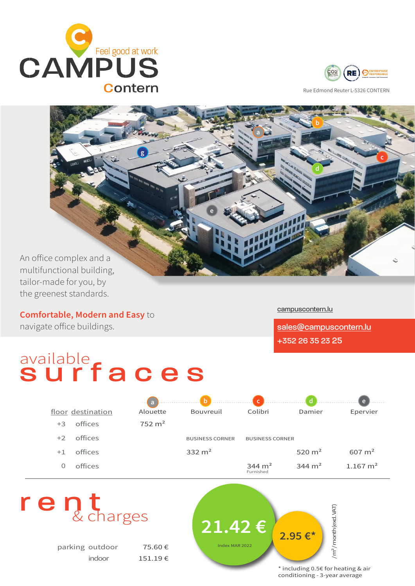



Rue Edmond Reuter L-5326 CONTERN



An office complex and a multifunctional building, tailor-made for you, by the greenest standards.

Comfortable, Modern and Easy to navigate office buildings.

# available<br>Surfaces

[campuscontern.lu](http://campuscontern.lu)

[sales@campuscontern.lu](mailto:sales%40campuscontern.lu?subject=more%20info) +352 26 35 23 25

|      |                   |                   |                        |                        |                   | $\mathbf{e}$      |
|------|-------------------|-------------------|------------------------|------------------------|-------------------|-------------------|
|      | floor destination | Alouette          | Bouvreuil              | Colibri                | Damier            | Epervier          |
| $+3$ | offices           | $752 \text{ m}^2$ |                        |                        |                   |                   |
| $+2$ | offices           |                   | <b>BUSINESS CORNER</b> | <b>BUSINESS CORNER</b> |                   |                   |
| $+1$ | offices           |                   | 332 $m2$               |                        | 520 $m2$          | $607 \text{ m}^2$ |
| O    | offices           |                   |                        | 344 $m2$<br>Furnished  | $344 \text{ m}^2$ | 1.167 $\rm m^2$   |
|      |                   |                   |                        |                        |                   |                   |